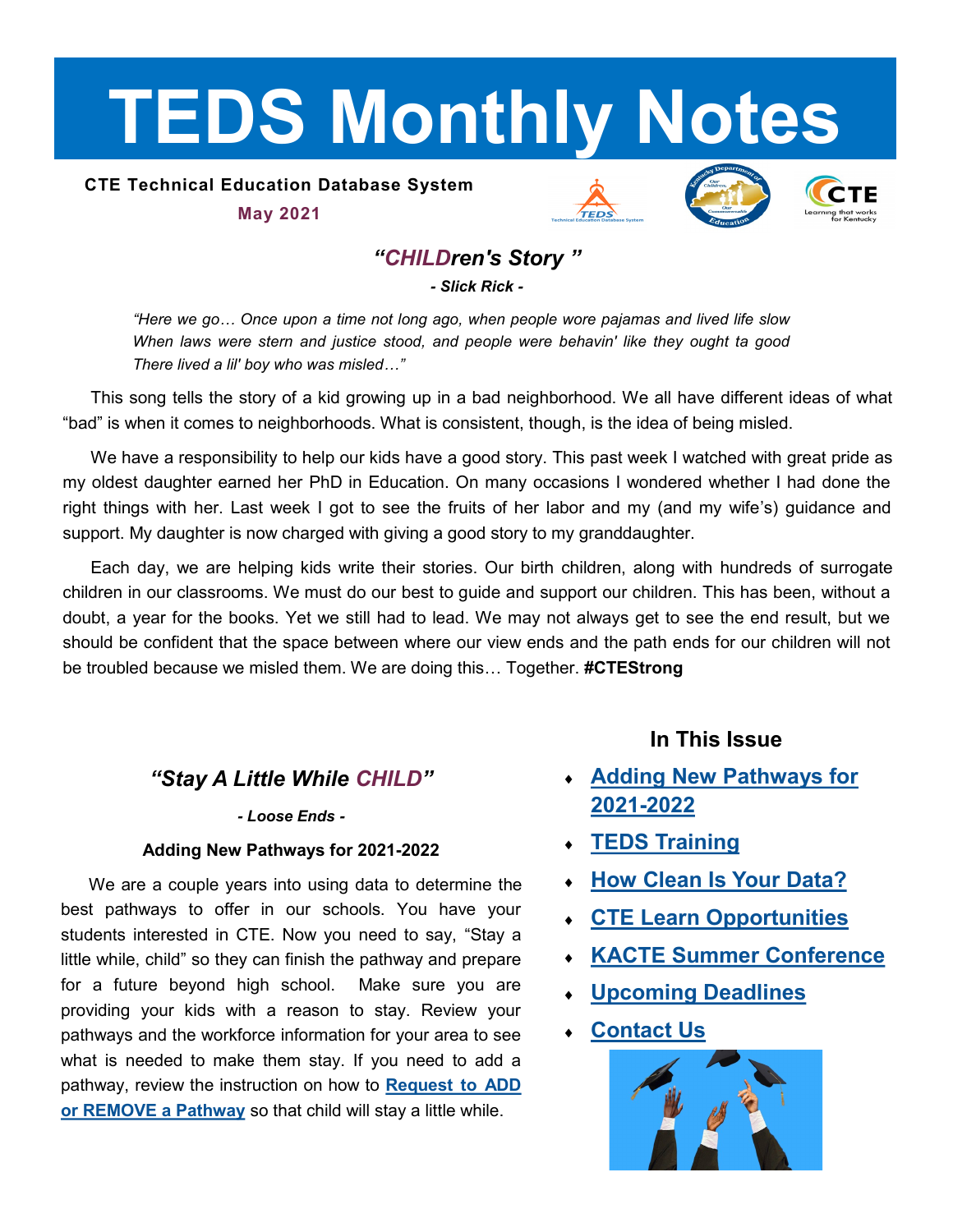# <span id="page-0-0"></span>**TEDS Monthly Notes**

## **CTE Technical Education Database System May 2021**







# *"CHILDren's Story "*

*- Slick Rick -*

*"Here we go… Once upon a time not long ago, when people wore pajamas and lived life slow When laws were stern and justice stood, and people were behavin' like they ought ta good There lived a lil' boy who was misled…"*

This song tells the story of a kid growing up in a bad neighborhood. We all have different ideas of what "bad" is when it comes to neighborhoods. What is consistent, though, is the idea of being misled.

We have a responsibility to help our kids have a good story. This past week I watched with great pride as my oldest daughter earned her PhD in Education. On many occasions I wondered whether I had done the right things with her. Last week I got to see the fruits of her labor and my (and my wife's) guidance and support. My daughter is now charged with giving a good story to my granddaughter.

Each day, we are helping kids write their stories. Our birth children, along with hundreds of surrogate children in our classrooms. We must do our best to guide and support our children. This has been, without a doubt, a year for the books. Yet we still had to lead. We may not always get to see the end result, but we should be confident that the space between where our view ends and the path ends for our children will not be troubled because we misled them. We are doing this… Together. **#CTEStrong**

# *"Stay A Little While CHILD"*

## *- Loose Ends -*

## **Adding New Pathways for 2021-2022**

We are a couple years into using data to determine the best pathways to offer in our schools. You have your students interested in CTE. Now you need to say, "Stay a little while, child" so they can finish the pathway and prepare for a future beyond high school. Make sure you are providing your kids with a reason to stay. Review your pathways and the workforce information for your area to see what is needed to make them stay. If you need to add a pathway, review the instruction on how to **[Request to ADD](https://education.ky.gov/CTE/teds/Documents/Add-Remove_Existing_Pathway_in_TEDS.pdf)  [or REMOVE a Pathway](https://education.ky.gov/CTE/teds/Documents/Add-Remove_Existing_Pathway_in_TEDS.pdf)** so that child will stay a little while.

# **In This Issue**

- **[Adding New Pathways for](#page-0-0)  2021-[2022](#page-0-0)**
- **[TEDS Training](#page-1-0)**
- **[How Clean Is Your Data?](#page-1-0)**
- **[CTE Learn Opportunities](#page-2-0)**
- **[KACTE Summer Conference](#page-2-0)**
- **[Upcoming Deadlines](#page-3-0)**
- **[Contact Us](#page-3-0)**

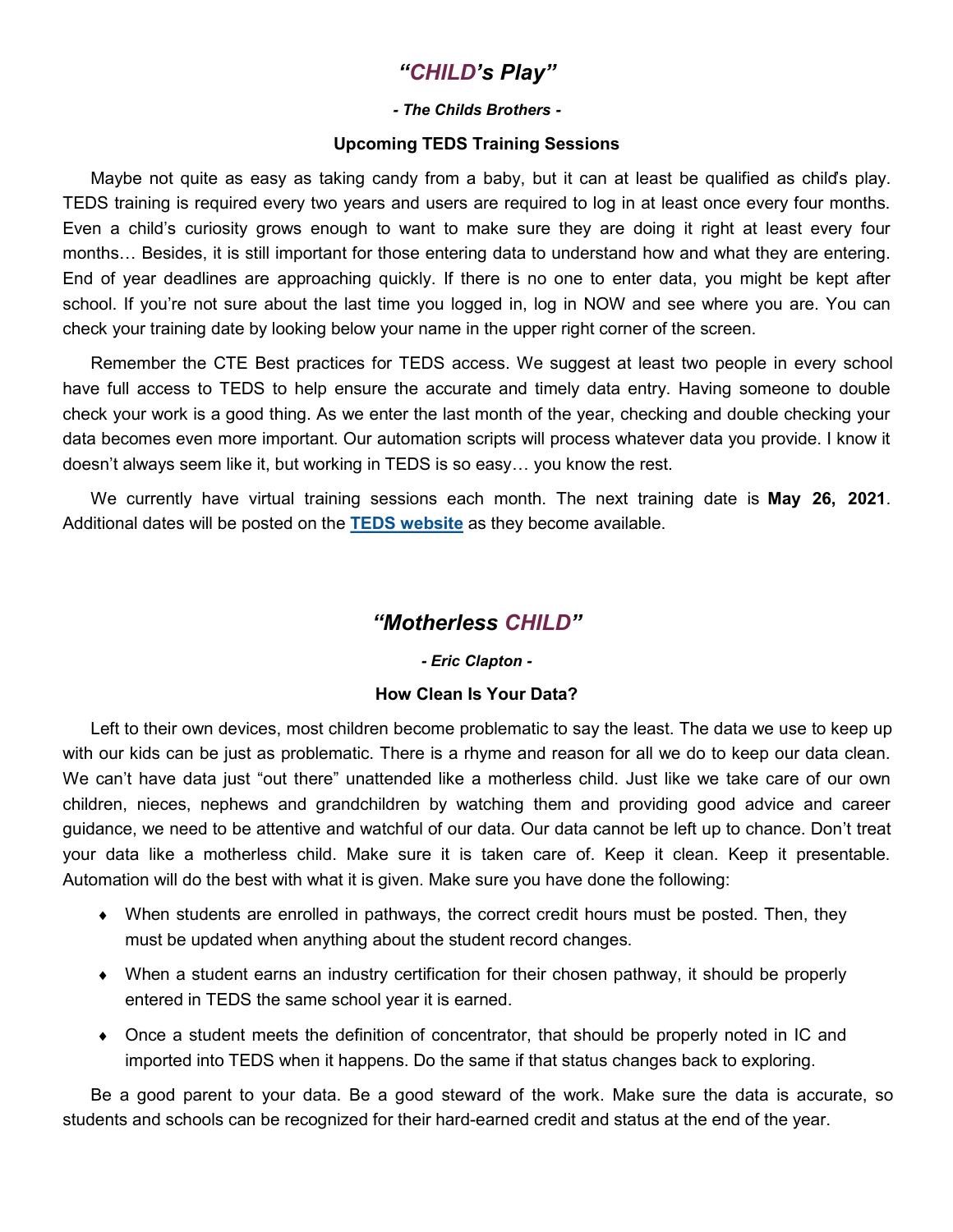# *"CHILD's Play"*

#### *- The Childs Brothers -*

#### **Upcoming TEDS Training Sessions**

<span id="page-1-0"></span>Maybe not quite as easy as taking candy from a baby, but it can at least be qualified as child's play. TEDS training is required every two years and users are required to log in at least once every four months. Even a child's curiosity grows enough to want to make sure they are doing it right at least every four months… Besides, it is still important for those entering data to understand how and what they are entering. End of year deadlines are approaching quickly. If there is no one to enter data, you might be kept after school. If you're not sure about the last time you logged in, log in NOW and see where you are. You can check your training date by looking below your name in the upper right corner of the screen.

Remember the CTE Best practices for TEDS access. We suggest at least two people in every school have full access to TEDS to help ensure the accurate and timely data entry. Having someone to double check your work is a good thing. As we enter the last month of the year, checking and double checking your data becomes even more important. Our automation scripts will process whatever data you provide. I know it doesn't always seem like it, but working in TEDS is so easy… you know the rest.

We currently have virtual training sessions each month. The next training date is **May 26, 2021**. Additional dates will be posted on the **[TEDS website](https://education.ky.gov/CTE/teds/Pages/default.aspx)** as they become available.

## *"Motherless CHILD"*

#### *- Eric Clapton -*

## **How Clean Is Your Data?**

Left to their own devices, most children become problematic to say the least. The data we use to keep up with our kids can be just as problematic. There is a rhyme and reason for all we do to keep our data clean. We can't have data just "out there" unattended like a motherless child. Just like we take care of our own children, nieces, nephews and grandchildren by watching them and providing good advice and career guidance, we need to be attentive and watchful of our data. Our data cannot be left up to chance. Don't treat your data like a motherless child. Make sure it is taken care of. Keep it clean. Keep it presentable. Automation will do the best with what it is given. Make sure you have done the following:

- When students are enrolled in pathways, the correct credit hours must be posted. Then, they must be updated when anything about the student record changes.
- When a student earns an industry certification for their chosen pathway, it should be properly entered in TEDS the same school year it is earned.
- Once a student meets the definition of concentrator, that should be properly noted in IC and imported into TEDS when it happens. Do the same if that status changes back to exploring.

Be a good parent to your data. Be a good steward of the work. Make sure the data is accurate, so students and schools can be recognized for their hard-earned credit and status at the end of the year.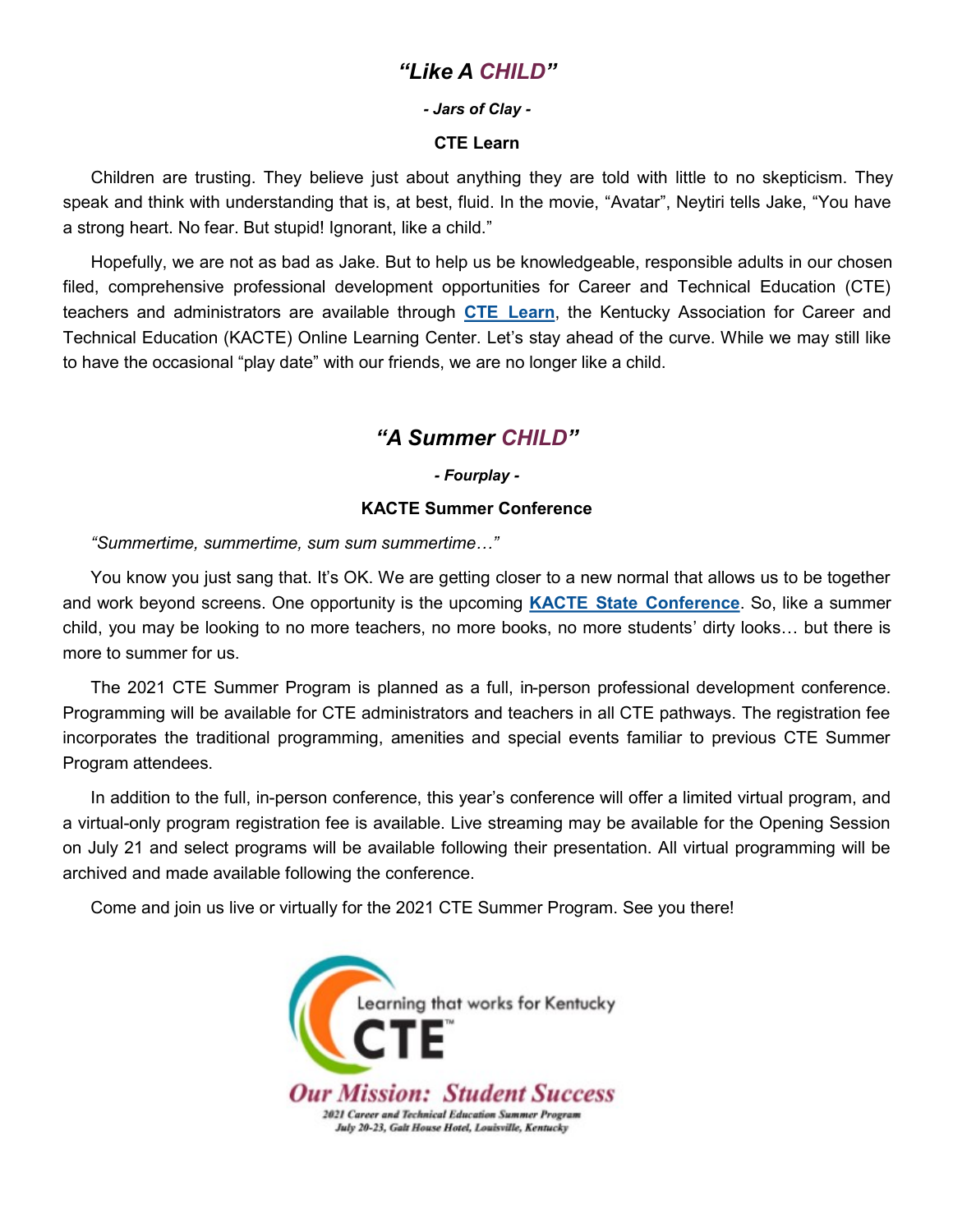## *"Like A CHILD"*

*- Jars of Clay -*

#### **CTE Learn**

<span id="page-2-0"></span>Children are trusting. They believe just about anything they are told with little to no skepticism. They speak and think with understanding that is, at best, fluid. In the movie, "Avatar", Neytiri tells Jake, "You have a strong heart. No fear. But stupid! Ignorant, like a child."

Hopefully, we are not as bad as Jake. But to help us be knowledgeable, responsible adults in our chosen filed, comprehensive professional development opportunities for Career and Technical Education (CTE) teachers and administrators are available through **[CTE Learn](https://ky.ctelearn.org/)**, the Kentucky Association for Career and Technical Education (KACTE) Online Learning Center. Let's stay ahead of the curve. While we may still like to have the occasional "play date" with our friends, we are no longer like a child.

# *"A Summer CHILD"*

*- Fourplay -*

### **KACTE Summer Conference**

*"Summertime, summertime, sum sum summertime…"*

You know you just sang that. It's OK. We are getting closer to a new normal that allows us to be together and work beyond screens. One opportunity is the upcoming **[KACTE State Conference](https://www.acteonline.org/kacteonline/summer-program/)**. So, like a summer child, you may be looking to no more teachers, no more books, no more students' dirty looks… but there is more to summer for us.

The 2021 CTE Summer Program is planned as a full, in-person professional development conference. Programming will be available for CTE administrators and teachers in all CTE pathways. The registration fee incorporates the traditional programming, amenities and special events familiar to previous CTE Summer Program attendees.

In addition to the full, in-person conference, this year's conference will offer a limited virtual program, and a virtual-only program registration fee is available. Live streaming may be available for the Opening Session on July 21 and select programs will be available following their presentation. All virtual programming will be archived and made available following the conference.

Come and join us live or virtually for the 2021 CTE Summer Program. See you there!